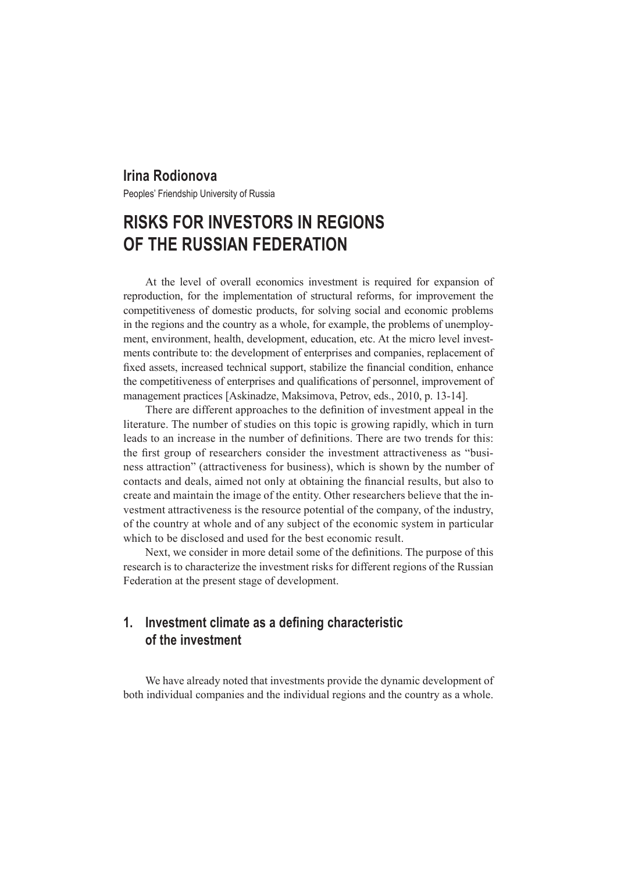### **Irina Rodionova**

Peoples' Friendship University of Russia

# **RISKS FOR INVESTORS IN REGIONS OF THE RUSSIAN FEDERATION**

At the level of overall economics investment is required for expansion of reproduction, for the implementation of structural reforms, for improvement the competitiveness of domestic products, for solving social and economic problems in the regions and the country as a whole, for example, the problems of unemployment, environment, health, development, education, etc. At the micro level investments contribute to: the development of enterprises and companies, replacement of fixed assets, increased technical support, stabilize the financial condition, enhance the competitiveness of enterprises and qualifications of personnel, improvement of management practices [Askinadze, Maksimova, Petrov, eds., 2010, p. 13-14].

There are different approaches to the definition of investment appeal in the literature. The number of studies on this topic is growing rapidly, which in turn leads to an increase in the number of definitions. There are two trends for this: the first group of researchers consider the investment attractiveness as "business attraction" (attractiveness for business), which is shown by the number of contacts and deals, aimed not only at obtaining the financial results, but also to create and maintain the image of the entity. Other researchers believe that the investment attractiveness is the resource potential of the company, of the industry, of the country at whole and of any subject of the economic system in particular which to be disclosed and used for the best economic result.

Next, we consider in more detail some of the definitions. The purpose of this research is to characterize the investment risks for different regions of the Russian Federation at the present stage of development.

# **1. Investment climate as a defining characteristic of the investment**

We have already noted that investments provide the dynamic development of both individual companies and the individual regions and the country as a whole.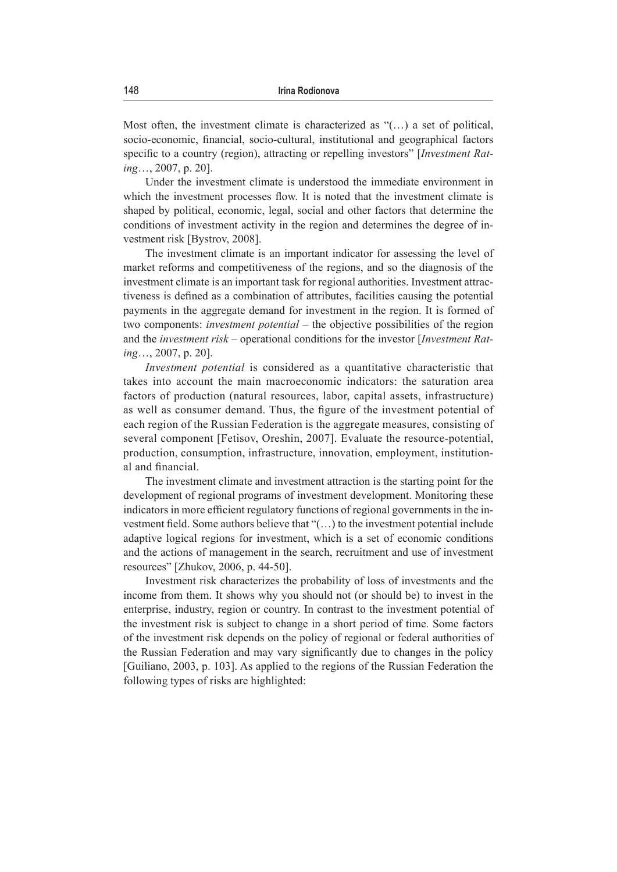Most often, the investment climate is characterized as "(…) a set of political, socio-economic, financial, socio-cultural, institutional and geographical factors specific to a country (region), attracting or repelling investors" [*Investment Rating*…, 2007, р. 20].

Under the investment climate is understood the immediate environment in which the investment processes flow. It is noted that the investment climate is shaped by political, economic, legal, social and other factors that determine the conditions of investment activity in the region and determines the degree of investment risk [Bystrov, 2008].

The investment climate is an important indicator for assessing the level of market reforms and competitiveness of the regions, and so the diagnosis of the investment climate is an important task for regional authorities. Investment attractiveness is defined as a combination of attributes, facilities causing the potential payments in the aggregate demand for investment in the region. It is formed of two components: *investment potential* – the objective possibilities of the region and the *investment risk* – operational conditions for the investor [*Investment Rating*…, 2007, р. 20].

*Investment potential* is considered as a quantitative characteristic that takes into account the main macroeconomic indicators: the saturation area factors of production (natural resources, labor, capital assets, infrastructure) as well as consumer demand. Thus, the figure of the investment potential of each region of the Russian Federation is the aggregate measures, consisting of several component [Fetisov, Oreshin, 2007]. Evaluate the resource-potential, production, consumption, infrastructure, innovation, employment, institutional and financial.

The investment climate and investment attraction is the starting point for the development of regional programs of investment development. Monitoring these indicators in more efficient regulatory functions of regional governments in the investment field. Some authors believe that "(…) to the investment potential include adaptive logical regions for investment, which is a set of economic conditions and the actions of management in the search, recruitment and use of investment resources" [Zhukov, 2006, p. 44-50].

Investment risk characterizes the probability of loss of investments and the income from them. It shows why you should not (or should be) to invest in the enterprise, industry, region or country. In contrast to the investment potential of the investment risk is subject to change in a short period of time. Some factors of the investment risk depends on the policy of regional or federal authorities of the Russian Federation and may vary significantly due to changes in the policy [Guiliano, 2003, p. 103]. As applied to the regions of the Russian Federation the following types of risks are highlighted: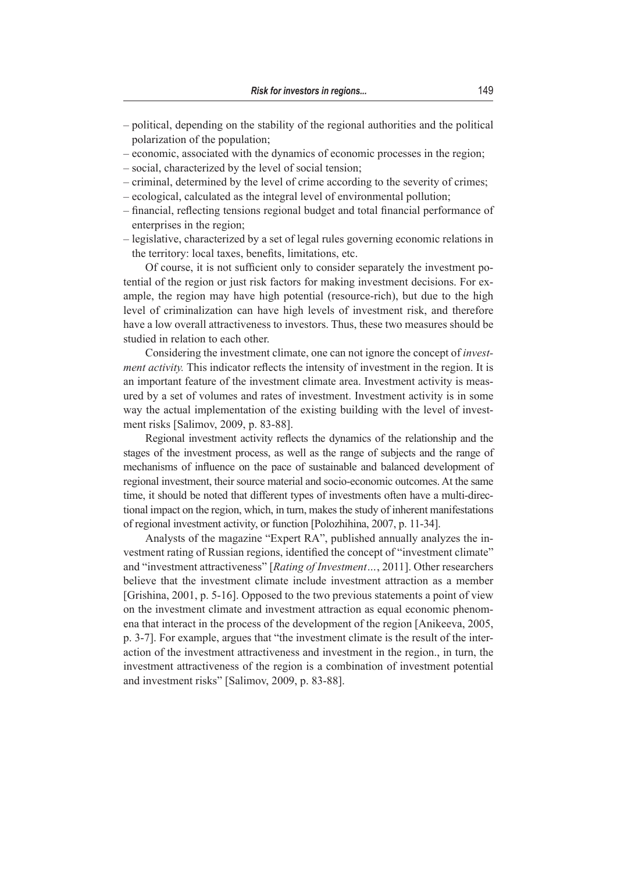- political, depending on the stability of the regional authorities and the political polarization of the population;
- economic, associated with the dynamics of economic processes in the region;
- social, characterized by the level of social tension;
- criminal, determined by the level of crime according to the severity of crimes;
- ecological, calculated as the integral level of environmental pollution;
- financial, reflecting tensions regional budget and total financial performance of enterprises in the region;
- legislative, characterized by a set of legal rules governing economic relations in the territory: local taxes, benefits, limitations, etc.

Of course, it is not sufficient only to consider separately the investment potential of the region or just risk factors for making investment decisions. For example, the region may have high potential (resource-rich), but due to the high level of criminalization can have high levels of investment risk, and therefore have a low overall attractiveness to investors. Thus, these two measures should be studied in relation to each other.

Considering the investment climate, one can not ignore the concept of *investment activity.* This indicator reflects the intensity of investment in the region. It is an important feature of the investment climate area. Investment activity is measured by a set of volumes and rates of investment. Investment activity is in some way the actual implementation of the existing building with the level of investment risks [Salimov, 2009, p. 83-88].

Regional investment activity reflects the dynamics of the relationship and the stages of the investment process, as well as the range of subjects and the range of mechanisms of influence on the pace of sustainable and balanced development of regional investment, their source material and socio-economic outcomes. At the same time, it should be noted that different types of investments often have a multi-directional impact on the region, which, in turn, makes the study of inherent manifestations of regional investment activity, or function [Polozhihina, 2007, p. 11-34].

Analysts of the magazine "Expert RA", published annually analyzes the investment rating of Russian regions, identified the concept of "investment climate" and "investment attractiveness" [*Rating of Investment…*, 2011]. Other researchers believe that the investment climate include investment attraction as a member [Grishina, 2001, p. 5-16]. Opposed to the two previous statements a point of view on the investment climate and investment attraction as equal economic phenomena that interact in the process of the development of the region [Anikeeva, 2005, p. 3-7]. For example, argues that "the investment climate is the result of the interaction of the investment attractiveness and investment in the region., in turn, the investment attractiveness of the region is a combination of investment potential and investment risks" [Salimov, 2009, p. 83-88].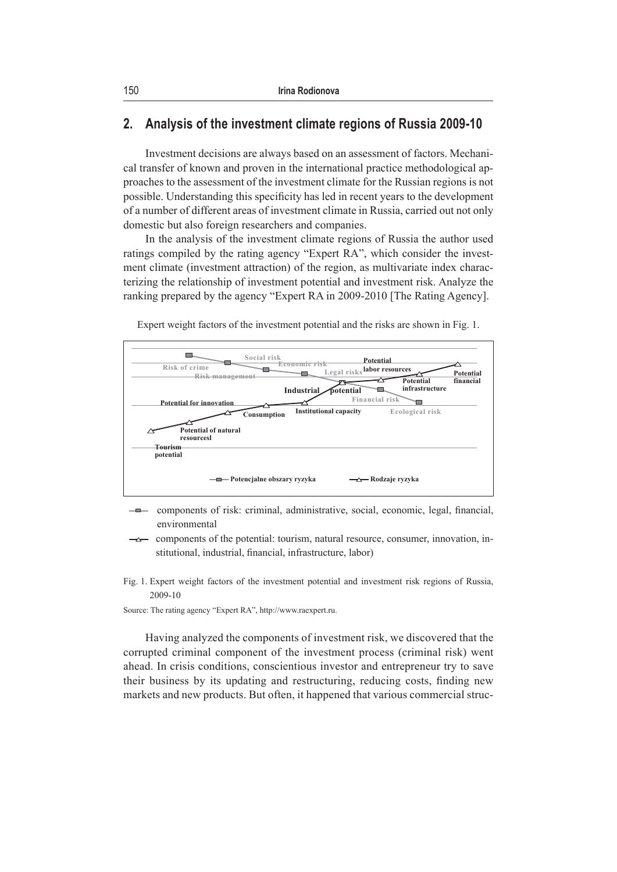# **2. Analysis of the investment climate regions of Russia 2009-10**

Investment decisions are always based on an assessment of factors. Mechanical transfer of known and proven in the international practice methodological approaches to the assessment of the investment climate for the Russian regions is not possible. Understanding this specificity has led in recent years to the development of a number of different areas of investment climate in Russia, carried out not only domestic but also foreign researchers and companies.

In the analysis of the investment climate regions of Russia the author used ratings compiled by the rating agency "Expert RA", which consider the investment climate (investment attraction) of the region, as multivariate index characterizing the relationship of investment potential and investment risk. Analyze the ranking prepared by the agency "Expert RA in 2009-2010 [The Rating Agency].



Expert weight factors of the investment potential and the risks are shown in Fig. 1.

- components of risk: criminal, administrative, social, economic, legal, financial,  $-$ o $$ environmental
- components of the potential: tourism, natural resource, consumer, innovation, in- $\overline{\phantom{a}}$ stitutional, industrial, financial, infrastructure, labor)
- Fig. 1. Expert weight factors of the investment potential and investment risk regions of Russia, 2009-10

Source: The rating agency "Expert RA", http://www.raexpert.ru.

Having analyzed the components of investment risk, we discovered that the corrupted criminal component of the investment process (criminal risk) went ahead. In crisis conditions, conscientious investor and entrepreneur try to save their business by its updating and restructuring, reducing costs, finding new markets and new products. But often, it happened that various commercial struc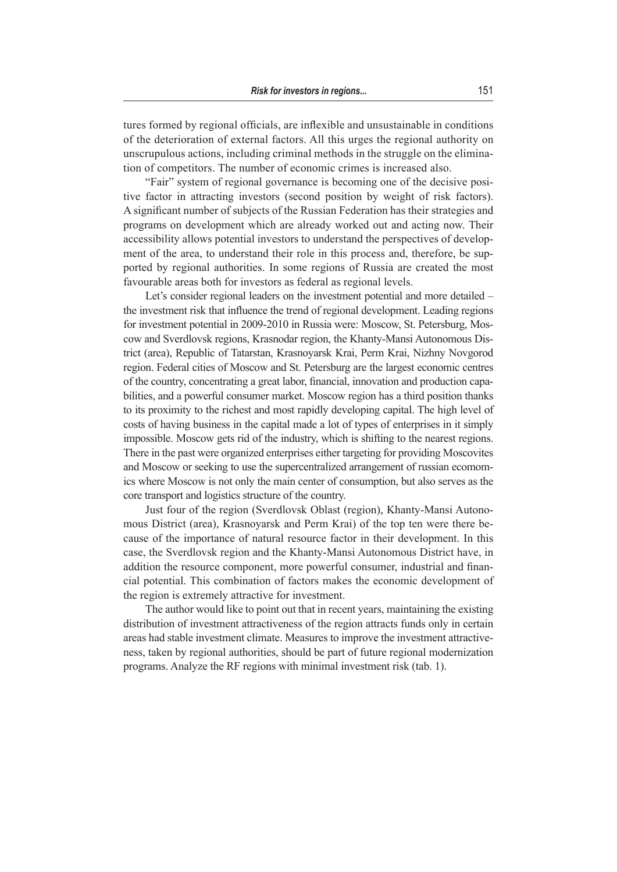tures formed by regional officials, are inflexible and unsustainable in conditions of the deterioration of external factors. All this urges the regional authority on unscrupulous actions, including criminal methods in the struggle on the elimination of competitors. The number of economic crimes is increased also.

"Fair" system of regional governance is becoming one of the decisive positive factor in attracting investors (second position by weight of risk factors). A significant number of subjects of the Russian Federation has their strategies and programs on development which are already worked out and acting now. Their accessibility allows potential investors to understand the perspectives of development of the area, to understand their role in this process and, therefore, be supported by regional authorities. In some regions of Russia are created the most favourable areas both for investors as federal as regional levels.

Let's consider regional leaders on the investment potential and more detailed – the investment risk that influence the trend of regional development. Leading regions for investment potential in 2009-2010 in Russia were: Moscow, St. Petersburg, Moscow and Sverdlovsk regions, Krasnodar region, the Khanty-Mansi Autonomous District (area), Republic of Tatarstan, Krasnoyarsk Krai, Perm Krai, Nizhny Novgorod region. Federal cities of Moscow and St. Petersburg are the largest economic centres of the country, concentrating a great labor, financial, innovation and production capabilities, and a powerful consumer market. Moscow region has a third position thanks to its proximity to the richest and most rapidly developing capital. The high level of costs of having business in the capital made a lot of types of enterprises in it simply impossible. Moscow gets rid of the industry, which is shifting to the nearest regions. There in the past were organized enterprises either targeting for providing Moscovites and Moscow or seeking to use the supercentralized arrangement of russian ecomomics where Moscow is not only the main center of consumption, but also serves as the core transport and logistics structure of the country.

Just four of the region (Sverdlovsk Oblast (region), Khanty-Mansi Autonomous District (area), Krasnoyarsk and Perm Krai) of the top ten were there because of the importance of natural resource factor in their development. In this case, the Sverdlovsk region and the Khanty-Mansi Autonomous District have, in addition the resource component, more powerful consumer, industrial and financial potential. This combination of factors makes the economic development of the region is extremely attractive for investment.

The author would like to point out that in recent years, maintaining the existing distribution of investment attractiveness of the region attracts funds only in certain areas had stable investment climate. Measures to improve the investment attractiveness, taken by regional authorities, should be part of future regional modernization programs. Analyze the RF regions with minimal investment risk (tab. 1).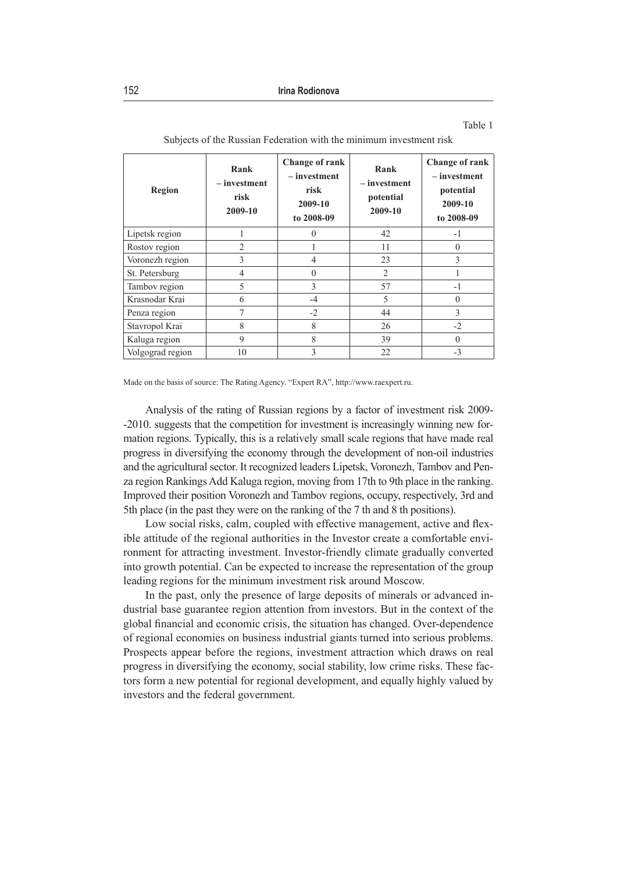| × |  |
|---|--|
|---|--|

| Region           | Rank<br>$-$ investment<br>risk<br>2009-10 | Change of rank<br>- investment<br>risk<br>2009-10<br>to 2008-09 | Rank<br>- investment<br>potential<br>2009-10 | <b>Change of rank</b><br>$-$ investment<br>potential<br>2009-10<br>to 2008-09 |
|------------------|-------------------------------------------|-----------------------------------------------------------------|----------------------------------------------|-------------------------------------------------------------------------------|
| Lipetsk region   |                                           | $\theta$                                                        | 42                                           | $-1$                                                                          |
| Rostov region    | $\overline{2}$                            |                                                                 | 11                                           | $\Omega$                                                                      |
| Voronezh region  | 3                                         | $\overline{4}$                                                  | 23                                           | 3                                                                             |
| St. Petersburg   | 4                                         | $\theta$                                                        | $\overline{2}$                               |                                                                               |
| Tambov region    | 5                                         | 3                                                               | 57                                           | $-1$                                                                          |
| Krasnodar Krai   | 6                                         | $-4$                                                            | 5                                            | $\Omega$                                                                      |
| Penza region     |                                           | $-2$                                                            | 44                                           | 3                                                                             |
| Stavropol Krai   | 8                                         | 8                                                               | 26                                           | $-2$                                                                          |
| Kaluga region    | 9                                         | 8                                                               | 39                                           | $\Omega$                                                                      |
| Volgograd region | 10                                        | 3                                                               | 22                                           | $-3$                                                                          |

Subjects of the Russian Federation with the minimum investment risk

Made on the basis of source: The Rating Agency. "Expert RA", http://www.raexpert.ru.

Analysis of the rating of Russian regions by a factor of investment risk 2009- -2010. suggests that the competition for investment is increasingly winning new formation regions. Typically, this is a relatively small scale regions that have made real progress in diversifying the economy through the development of non-oil industries and the agricultural sector. It recognized leaders Lipetsk, Voronezh, Tambov and Penza region Rankings Add Kaluga region, moving from 17th to 9th place in the ranking. Improved their position Voronezh and Tambov regions, occupy, respectively, 3rd and 5th place (in the past they were on the ranking of the 7 th and 8 th positions).

Low social risks, calm, coupled with effective management, active and flexible attitude of the regional authorities in the Investor create a comfortable environment for attracting investment. Investor-friendly climate gradually converted into growth potential. Can be expected to increase the representation of the group leading regions for the minimum investment risk around Moscow.

In the past, only the presence of large deposits of minerals or advanced industrial base guarantee region attention from investors. But in the context of the global financial and economic crisis, the situation has changed. Over-dependence of regional economies on business industrial giants turned into serious problems. Prospects appear before the regions, investment attraction which draws on real progress in diversifying the economy, social stability, low crime risks. These factors form a new potential for regional development, and equally highly valued by investors and the federal government.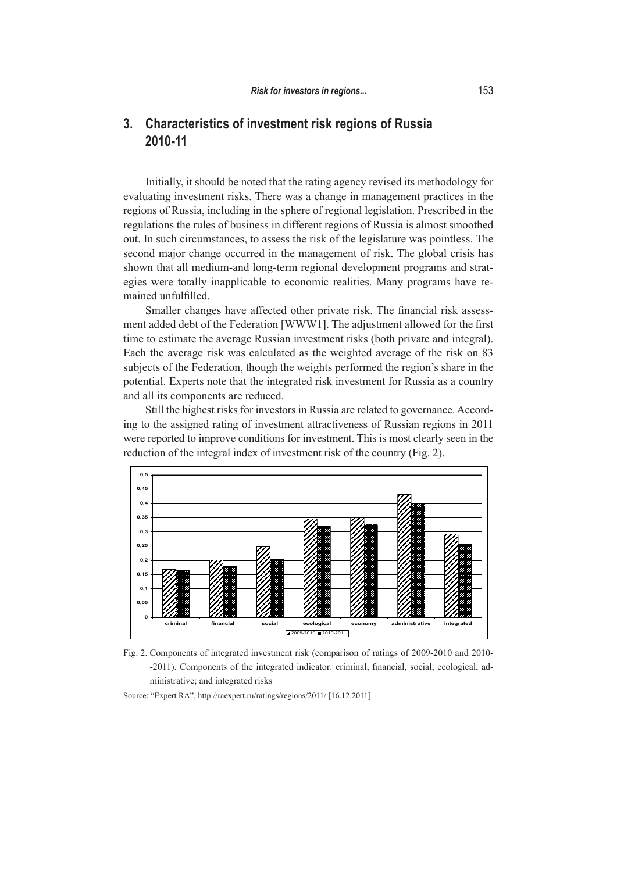# **3. Characteristics of investment risk regions of Russia 2010-11**

Initially, it should be noted that the rating agency revised its methodology for evaluating investment risks. There was a change in management practices in the regions of Russia, including in the sphere of regional legislation. Prescribed in the regulations the rules of business in different regions of Russia is almost smoothed out. In such circumstances, to assess the risk of the legislature was pointless. The second major change occurred in the management of risk. The global crisis has shown that all medium-and long-term regional development programs and strategies were totally inapplicable to economic realities. Many programs have remained unfulfilled.

Smaller changes have affected other private risk. The financial risk assessment added debt of the Federation [WWW1]. The adjustment allowed for the first time to estimate the average Russian investment risks (both private and integral). Each the average risk was calculated as the weighted average of the risk on 83 subjects of the Federation, though the weights performed the region's share in the potential. Experts note that the integrated risk investment for Russia as a country and all its components are reduced.

Still the highest risks for investors in Russia are related to governance. According to the assigned rating of investment attractiveness of Russian regions in 2011 were reported to improve conditions for investment. This is most clearly seen in the reduction of the integral index of investment risk of the country (Fig. 2).



Fig. 2. Components of integrated investment risk (comparison of ratings of 2009-2010 and Fig. 2. Components of integrated investment risk (comparison of ratings of 2009-2010 and 2010- -2011). Components of the integrated indicator: criminal, financial, social, ecological, administrative; and integrated risks

Source: "Expert RA", http://raexpert.ru/ratings/regions/2011/ [16.12.2011].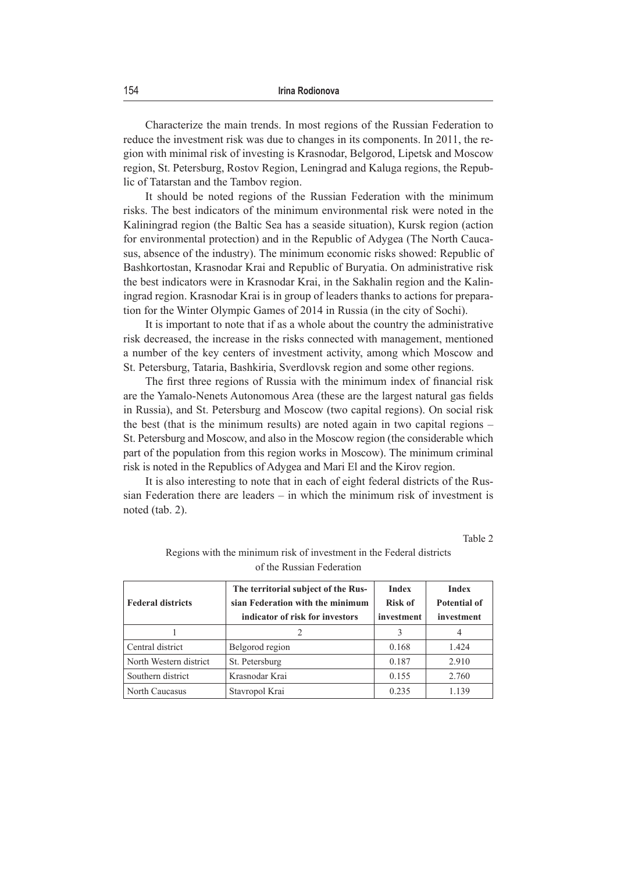Characterize the main trends. In most regions of the Russian Federation to reduce the investment risk was due to changes in its components. In 2011, the region with minimal risk of investing is Krasnodar, Belgorod, Lipetsk and Moscow region, St. Petersburg, Rostov Region, Leningrad and Kaluga regions, the Republic of Tatarstan and the Tambov region.

It should be noted regions of the Russian Federation with the minimum risks. The best indicators of the minimum environmental risk were noted in the Kaliningrad region (the Baltic Sea has a seaside situation), Kursk region (action for environmental protection) and in the Republic of Adygea (The North Caucasus, absence of the industry). The minimum economic risks showed: Republic of Bashkortostan, Krasnodar Krai and Republic of Buryatia. On administrative risk the best indicators were in Krasnodar Krai, in the Sakhalin region and the Kaliningrad region. Krasnodar Krai is in group of leaders thanks to actions for preparation for the Winter Olympic Games of 2014 in Russia (in the city of Sochi).

It is important to note that if as a whole about the country the administrative risk decreased, the increase in the risks connected with management, mentioned a number of the key centers of investment activity, among which Moscow and St. Petersburg, Tataria, Bashkiria, Sverdlovsk region and some other regions.

The first three regions of Russia with the minimum index of financial risk are the Yamalo-Nenets Autonomous Area (these are the largest natural gas fields in Russia), and St. Petersburg and Moscow (two capital regions). On social risk the best (that is the minimum results) are noted again in two capital regions – St. Petersburg and Moscow, and also in the Moscow region (the considerable which part of the population from this region works in Moscow). The minimum criminal risk is noted in the Republics of Adygea and Mari El and the Kirov region.

It is also interesting to note that in each of eight federal districts of the Russian Federation there are leaders – in which the minimum risk of investment is noted (tab. 2).

Table 2

| <b>Federal districts</b> | The territorial subject of the Rus-<br>sian Federation with the minimum<br>indicator of risk for investors | <b>Index</b><br><b>Risk of</b><br>investment | <b>Index</b><br>Potential of<br>investment |
|--------------------------|------------------------------------------------------------------------------------------------------------|----------------------------------------------|--------------------------------------------|
|                          |                                                                                                            | 3                                            |                                            |
| Central district         | Belgorod region                                                                                            | 0.168                                        | 1.424                                      |
| North Western district   | St. Petersburg                                                                                             | 0.187                                        | 2.910                                      |
| Southern district        | Krasnodar Krai                                                                                             | 0.155                                        | 2.760                                      |
| North Caucasus           | Stavropol Krai                                                                                             | 0.235                                        | 1.139                                      |

Regions with the minimum risk of investment in the Federal districts of the Russian Federation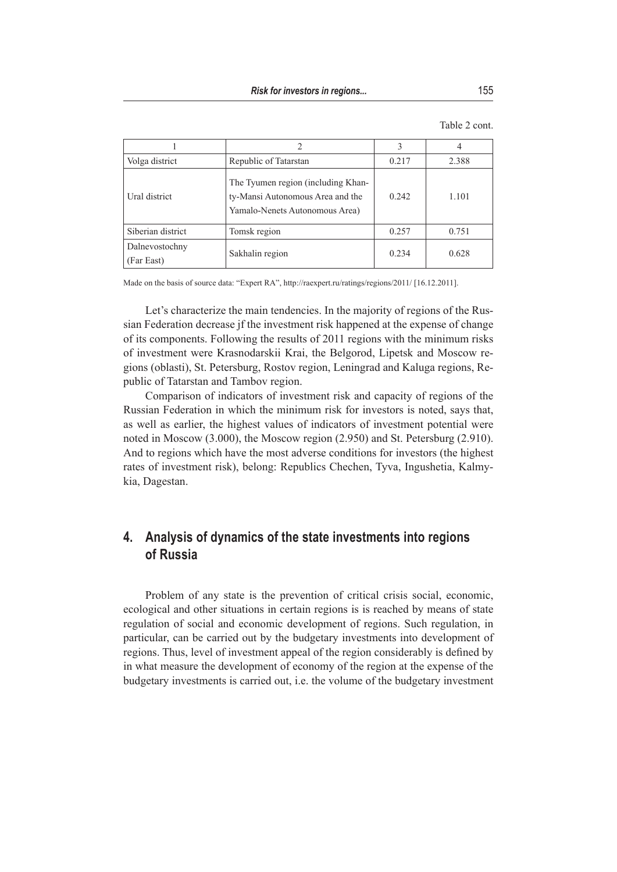| Volga district               | Republic of Tatarstan                                                                                    | 0.217 | 2.388 |
|------------------------------|----------------------------------------------------------------------------------------------------------|-------|-------|
| Ural district                | The Tyumen region (including Khan-<br>ty-Mansi Autonomous Area and the<br>Yamalo-Nenets Autonomous Area) | 0.242 | 1.101 |
| Siberian district            | Tomsk region                                                                                             | 0.257 | 0.751 |
| Dalnevostochny<br>(Far East) | Sakhalin region                                                                                          | 0.234 | 0.628 |

Table 2 cont.

Made on the basis of source data: "Expert RA", http://raexpert.ru/ratings/regions/2011/ [16.12.2011].

Let's characterize the main tendencies. In the majority of regions of the Russian Federation decrease jf the investment risk happened at the expense of change of its components. Following the results of 2011 regions with the minimum risks of investment were Krasnodarskii Krai, the Belgorod, Lipetsk and Moscow regions (oblasti), St. Petersburg, Rostov region, Leningrad and Kaluga regions, Republic of Tatarstan and Tambov region.

Comparison of indicators of investment risk and capacity of regions of the Russian Federation in which the minimum risk for investors is noted, says that, as well as earlier, the highest values of indicators of investment potential were noted in Moscow (3.000), the Moscow region (2.950) and St. Petersburg (2.910). And to regions which have the most adverse conditions for investors (the highest rates of investment risk), belong: Republics Chechen, Tyva, Ingushetia, Kalmykia, Dagestan.

### **4. Analysis of dynamics of the state investments into regions of Russia**

Problem of any state is the prevention of critical crisis social, economic, ecological and other situations in certain regions is is reached by means of state regulation of social and economic development of regions. Such regulation, in particular, can be carried out by the budgetary investments into development of regions. Thus, level of investment appeal of the region considerably is defined by in what measure the development of economy of the region at the expense of the budgetary investments is carried out, i.e. the volume of the budgetary investment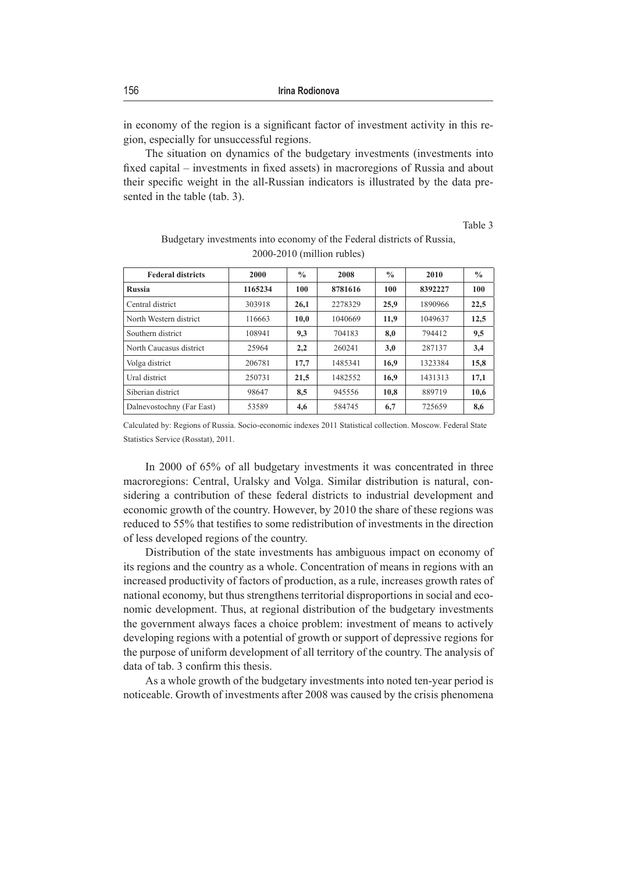in economy of the region is a significant factor of investment activity in this region, especially for unsuccessful regions.

The situation on dynamics of the budgetary investments (investments into fixed capital – investments in fixed assets) in macroregions of Russia and about their specific weight in the all-Russian indicators is illustrated by the data presented in the table (tab. 3).

Table 3

| <b>Federal districts</b>  | 2000    | $\frac{0}{0}$ | 2008    | $\frac{0}{0}$ | 2010    | $\frac{0}{0}$ |
|---------------------------|---------|---------------|---------|---------------|---------|---------------|
| <b>Russia</b>             | 1165234 | 100           | 8781616 | 100           | 8392227 | 100           |
| Central district          | 303918  | 26,1          | 2278329 | 25,9          | 1890966 | 22,5          |
| North Western district    | 116663  | 10,0          | 1040669 | 11,9          | 1049637 | 12,5          |
| Southern district         | 108941  | 9,3           | 704183  | 8,0           | 794412  | 9,5           |
| North Caucasus district   | 25964   | 2,2           | 260241  | 3,0           | 287137  | 3,4           |
| Volga district            | 206781  | 17.7          | 1485341 | 16,9          | 1323384 | 15,8          |
| Ural district             | 250731  | 21,5          | 1482552 | 16,9          | 1431313 | 17,1          |
| Siberian district         | 98647   | 8,5           | 945556  | 10,8          | 889719  | 10,6          |
| Dalnevostochny (Far East) | 53589   | 4,6           | 584745  | 6,7           | 725659  | 8,6           |

#### Budgetary investments into economy of the Federal districts of Russia, 2000-2010 (million rubles)

Calculated by: Regions of Russia. Socio-economic indexes 2011 Statistical collection. Moscow. Federal State Statistics Service (Rosstat), 2011.

In 2000 of 65% of all budgetary investments it was concentrated in three macroregions: Central, Uralsky and Volga. Similar distribution is natural, considering a contribution of these federal districts to industrial development and economic growth of the country. However, by 2010 the share of these regions was reduced to 55% that testifies to some redistribution of investments in the direction of less developed regions of the country.

Distribution of the state investments has ambiguous impact on economy of its regions and the country as a whole. Concentration of means in regions with an increased productivity of factors of production, as a rule, increases growth rates of national economy, but thus strengthens territorial disproportions in social and economic development. Thus, at regional distribution of the budgetary investments the government always faces a choice problem: investment of means to actively developing regions with a potential of growth or support of depressive regions for the purpose of uniform development of all territory of the country. The analysis of data of tab. 3 confirm this thesis.

As a whole growth of the budgetary investments into noted ten-year period is noticeable. Growth of investments after 2008 was caused by the crisis phenomena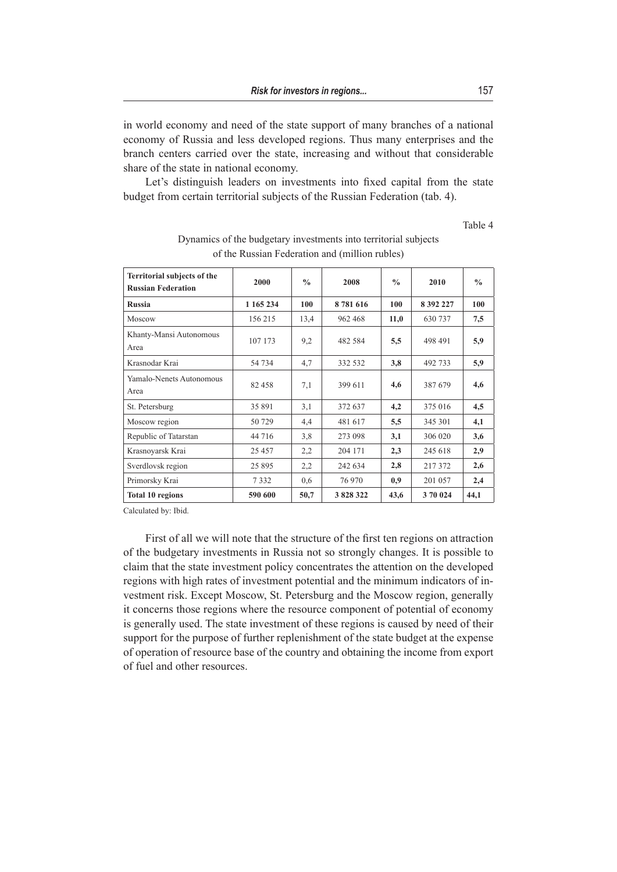in world economy and need of the state support of many branches of a national economy of Russia and less developed regions. Thus many enterprises and the branch centers carried over the state, increasing and without that considerable share of the state in national economy.

Let's distinguish leaders on investments into fixed capital from the state budget from certain territorial subjects of the Russian Federation (tab. 4).

Table 4

| Territorial subjects of the<br><b>Russian Federation</b> | 2000      | $\frac{0}{0}$ | 2008    | $\frac{0}{0}$ | 2010      | $\frac{0}{0}$ |
|----------------------------------------------------------|-----------|---------------|---------|---------------|-----------|---------------|
| <b>Russia</b>                                            | 1 165 234 | 100           | 8781616 | 100           | 8 392 227 | 100           |
| Moscow                                                   | 156 215   | 13,4          | 962 468 | 11,0          | 630 737   | 7,5           |
| Khanty-Mansi Autonomous<br>Area                          | 107 173   | 9,2           | 482 584 | 5,5           | 498 491   | 5,9           |
| Krasnodar Krai                                           | 54 734    | 4,7           | 332 532 | 3,8           | 492 733   | 5,9           |
| Yamalo-Nenets Autonomous<br>Area                         | 82 458    | 7,1           | 399 611 | 4,6           | 387 679   | 4,6           |
| St. Petersburg                                           | 35 891    | 3,1           | 372 637 | 4,2           | 375 016   | 4,5           |
| Moscow region                                            | 50 729    | 4,4           | 481 617 | 5,5           | 345 301   | 4,1           |
| Republic of Tatarstan                                    | 44 716    | 3,8           | 273 098 | 3,1           | 306 020   | 3,6           |
| Krasnoyarsk Krai                                         | 25 457    | 2,2           | 204 171 | 2,3           | 245 618   | 2,9           |
| Sverdlovsk region                                        | 25 8 95   | 2,2           | 242 634 | 2,8           | 217 372   | 2,6           |
| Primorsky Krai                                           | 7332      | 0.6           | 76 970  | 0.9           | 201 057   | 2,4           |
| <b>Total 10 regions</b>                                  | 590 600   | 50,7          | 3828322 | 43,6          | 370 024   | 44,1          |

#### Dynamics of the budgetary investments into territorial subjects of the Russian Federation and (million rubles)

Calculated by: Ibid.

First of all we will note that the structure of the first ten regions on attraction of the budgetary investments in Russia not so strongly changes. It is possible to claim that the state investment policy concentrates the attention on the developed regions with high rates of investment potential and the minimum indicators of investment risk. Except Moscow, St. Petersburg and the Moscow region, generally it concerns those regions where the resource component of potential of economy is generally used. The state investment of these regions is caused by need of their support for the purpose of further replenishment of the state budget at the expense of operation of resource base of the country and obtaining the income from export of fuel and other resources.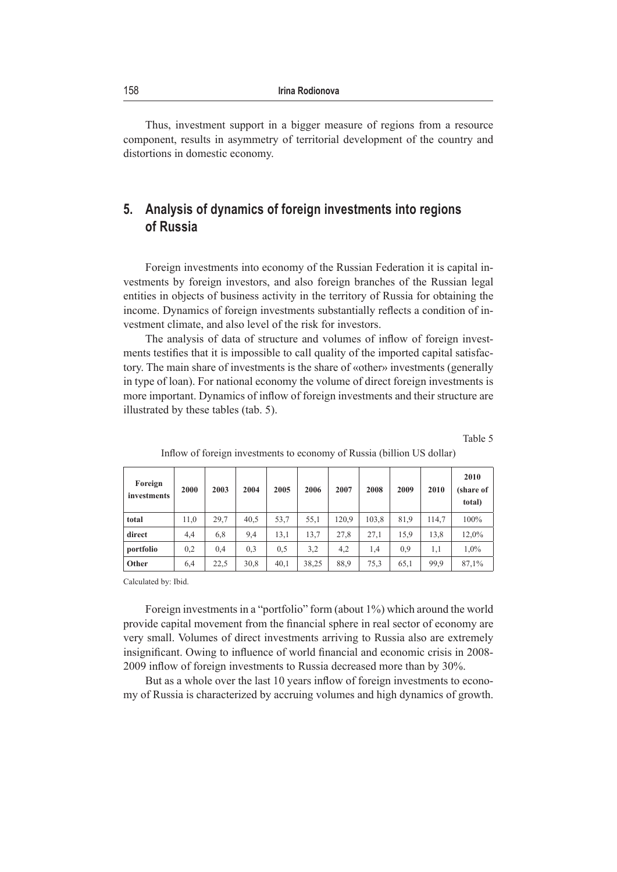Thus, investment support in a bigger measure of regions from a resource component, results in asymmetry of territorial development of the country and distortions in domestic economy.

# **5. Analysis of dynamics of foreign investments into regions of Russia**

Foreign investments into economy of the Russian Federation it is capital investments by foreign investors, and also foreign branches of the Russian legal entities in objects of business activity in the territory of Russia for obtaining the income. Dynamics of foreign investments substantially reflects a condition of investment climate, and also level of the risk for investors.

The analysis of data of structure and volumes of inflow of foreign investments testifies that it is impossible to call quality of the imported capital satisfactory. The main share of investments is the share of «other» investments (generally in type of loan). For national economy the volume of direct foreign investments is more important. Dynamics of inflow of foreign investments and their structure are illustrated by these tables (tab. 5).

Table 5

| Foreign<br>investments | 2000 | 2003 | 2004 | 2005 | 2006  | 2007  | 2008  | 2009 | 2010  | 2010<br>(share of<br>total) |
|------------------------|------|------|------|------|-------|-------|-------|------|-------|-----------------------------|
| total                  | 11,0 | 29,7 | 40.5 | 53,7 | 55,1  | 120.9 | 103,8 | 81.9 | 114,7 | 100%                        |
| direct                 | 4,4  | 6,8  | 9,4  | 13,1 | 13,7  | 27.8  | 27.1  | 15,9 | 13.8  | 12.0%                       |
| portfolio              | 0,2  | 0.4  | 0,3  | 0.5  | 3,2   | 4,2   | 1.4   | 0.9  | 1.1   | 1,0%                        |
| Other                  | 6,4  | 22,5 | 30,8 | 40,1 | 38,25 | 88.9  | 75,3  | 65,1 | 99,9  | 87,1%                       |

#### Inflow of foreign investments to economy of Russia (billion US dollar)

Calculated by: Ibid.

Foreign investments in a "portfolio" form (about 1%) which around the world provide capital movement from the financial sphere in real sector of economy are very small. Volumes of direct investments arriving to Russia also are extremely insignificant. Owing to influence of world financial and economic crisis in 2008- 2009 inflow of foreign investments to Russia decreased more than by 30%.

But as a whole over the last 10 years inflow of foreign investments to economy of Russia is characterized by accruing volumes and high dynamics of growth.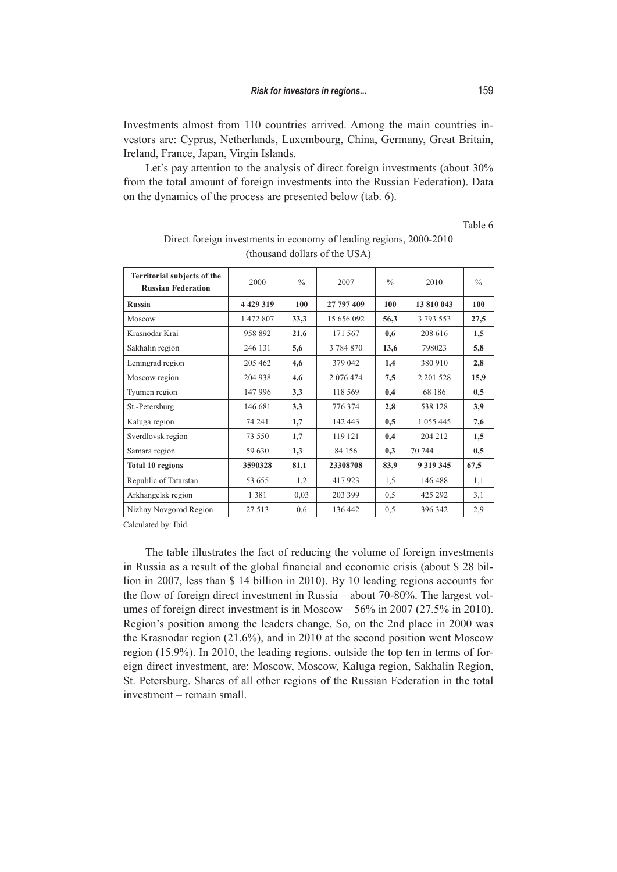Investments almost from 110 countries arrived. Among the main countries investors are: Cyprus, Netherlands, Luxembourg, China, Germany, Great Britain, Ireland, France, Japan, Virgin Islands.

Let's pay attention to the analysis of direct foreign investments (about 30%) from the total amount of foreign investments into the Russian Federation). Data on the dynamics of the process are presented below (tab. 6).

Table 6

| Territorial subjects of the<br><b>Russian Federation</b> | 2000        | $\frac{0}{0}$ | 2007       | $\frac{0}{0}$ | 2010          | $\frac{0}{0}$ |
|----------------------------------------------------------|-------------|---------------|------------|---------------|---------------|---------------|
| <b>Russia</b>                                            | 4 4 29 3 19 | 100           | 27 797 409 | 100           | 13 810 043    | 100           |
| Moscow                                                   | 1 472 807   | 33,3          | 15 656 092 | 56,3          | 3 793 553     | 27,5          |
| Krasnodar Krai                                           | 958 892     | 21,6          | 171 567    | 0,6           | 208 616       | 1,5           |
| Sakhalin region                                          | 246 131     | 5,6           | 3 784 870  | 13,6          | 798023        | 5,8           |
| Leningrad region                                         | 205 462     | 4,6           | 379 042    | 1,4           | 380 910       | 2,8           |
| Moscow region                                            | 204 938     | 4,6           | 2 076 474  | 7,5           | 2 201 5 28    | 15,9          |
| Tyumen region                                            | 147 996     | 3,3           | 118 569    | 0,4           | 68 186        | 0,5           |
| St.-Petersburg                                           | 146 681     | 3,3           | 776 374    | 2,8           | 538 128       | 3,9           |
| Kaluga region                                            | 74 241      | 1,7           | 142 443    | 0.5           | 1 0 5 5 4 4 5 | 7,6           |
| Sverdlovsk region                                        | 73 550      | 1,7           | 119 121    | 0,4           | 204 212       | 1,5           |
| Samara region                                            | 59 630      | 1,3           | 84 156     | 0.3           | 70 744        | 0,5           |
| <b>Total 10 regions</b>                                  | 3590328     | 81,1          | 23308708   | 83,9          | 9 3 1 9 3 4 5 | 67,5          |
| Republic of Tatarstan                                    | 53 655      | 1,2           | 417923     | 1,5           | 146 488       | 1,1           |
| Arkhangelsk region                                       | 1381        | 0.03          | 203 399    | 0.5           | 425 292       | 3,1           |
| Nizhny Novgorod Region                                   | 27 513      | 0,6           | 136 442    | 0,5           | 396 342       | 2,9           |

Direct foreign investments in economy of leading regions, 2000-2010 (thousand dollars of the USA)

Calculated by: Ibid.

The table illustrates the fact of reducing the volume of foreign investments in Russia as a result of the global financial and economic crisis (about \$ 28 billion in 2007, less than \$ 14 billion in 2010). By 10 leading regions accounts for the flow of foreign direct investment in Russia – about 70-80%. The largest volumes of foreign direct investment is in Moscow – 56% in 2007 (27.5% in 2010). Region's position among the leaders change. So, on the 2nd place in 2000 was the Krasnodar region (21.6%), and in 2010 at the second position went Moscow region (15.9%). In 2010, the leading regions, outside the top ten in terms of foreign direct investment, are: Moscow, Moscow, Kaluga region, Sakhalin Region, St. Petersburg. Shares of all other regions of the Russian Federation in the total investment – remain small.